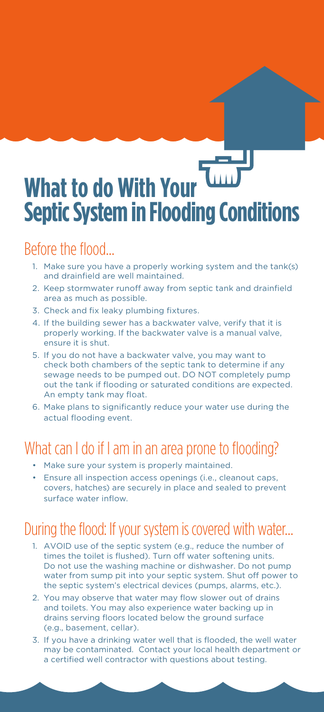# **What to do With Your Septic System in Flooding Conditions**

### Before the flood…

- 1. Make sure you have a properly working system and the tank(s) and drainfield are well maintained.
- 2. Keep stormwater runoff away from septic tank and drainfield area as much as possible.
- 3. Check and fix leaky plumbing fixtures.
- 4. If the building sewer has a backwater valve, verify that it is properly working. If the backwater valve is a manual valve, ensure it is shut.
- 5. If you do not have a backwater valve, you may want to check both chambers of the septic tank to determine if any sewage needs to be pumped out. DO NOT completely pump out the tank if flooding or saturated conditions are expected. An empty tank may float.
- 6. Make plans to significantly reduce your water use during the actual flooding event.

#### What can I do if I am in an area prone to flooding?

- Make sure your system is properly maintained.
- Ensure all inspection access openings (i.e., cleanout caps, covers, hatches) are securely in place and sealed to prevent surface water inflow.

## During the flood: If your system is covered with water…

- 1. AVOID use of the septic system (e.g., reduce the number of times the toilet is flushed). Turn off water softening units. Do not use the washing machine or dishwasher. Do not pump water from sump pit into your septic system. Shut off power to the septic system's electrical devices (pumps, alarms, etc.).
- 2. You may observe that water may flow slower out of drains and toilets. You may also experience water backing up in drains serving floors located below the ground surface (e.g., basement, cellar).
- 3. If you have a drinking water well that is flooded, the well water may be contaminated. Contact your local health department or a certified well contractor with questions about testing.